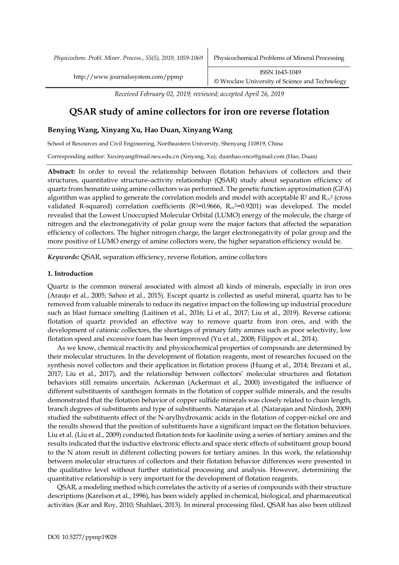*Physicochem. Probl. Miner. Process., 55(5), 2019, 1059-1069* Physicochemical Problems of Mineral Processing

http://www.journalssystem.com/ppmp ISSN 1643-1049 © Wroclaw University of Science and Technology

*Received February 02, 2019; reviewed; accepted April 26, 2019*

# **QSAR study of amine collectors for iron ore reverse flotation**

## **Benying Wang, Xinyang Xu, Hao Duan, Xinyang Wang**

School of Resources and Civil Engineering, Northeastern University, Shenyang 110819, China

Corresponding author: Xuxinyang@mail.neu.edu.cn (Xinyang, Xu); duanhao.once@gmail.com (Hao, Duan*)*

**Abstract:** In order to reveal the relationship between flotation behaviors of collectors and their structures, quantitative structure–activity relationship (QSAR) study about separation efficiency of quartz from hematite using amine collectors was performed. The genetic function approximation (GFA) algorithm was applied to generate the correlation models and model with acceptable  $R^2$  and  $R_{cv}^2$  (cross validated R-squared) correlation coefficients ( $R<sup>2</sup>=0.9666$ ,  $R_{cv}<sup>2</sup>=0.9201$ ) was developed. The model revealed that the Lowest Unoccupied Molecular Orbital (LUMO) energy of the molecule, the charge of nitrogen and the electronegativity of polar group were the major factors that affected the separation efficiency of collectors. The higher nitrogen charge, the larger electronegativity of polar group and the more positive of LUMO energy of amine collectors were, the higher separation efficiency would be.

*Keywords:* QSAR, separation efficiency, reverse flotation, amine collectors

### **1. Introduction**

Quartz is the common mineral associated with almost all kinds of minerals, especially in iron ores (Araujo et al., 2005; Sahoo et al., 2015). Except quartz is collected as useful mineral, quartz has to be removed from valuable minerals to reduce its negative impact on the following up industrial procedure such as blast furnace smelting (Laitinen et al., 2016; Li et al., 2017; Liu et al., 2019). Reverse cationic flotation of quartz provided an effective way to remove quartz from iron ores, and with the development of cationic collectors, the shortages of primary fatty amines such as poor selectivity, low flotation speed and excessive foam has been improved (Yu et al., 2008; Filippov et al., 2014).

As we know, chemical reactivity and physicochemical properties of compounds are determined by their molecular structures. In the development of flotation reagents, most of researches focused on the synthesis novel collectors and their application in flotation process (Huang et al., 2014; Brezani et al., 2017; Liu et al., 2017), and the relationship between collectors' molecular structures and flotation behaviors still remains uncertain. Ackerman (Ackerman et al., 2000) investigated the influence of different substituents of xanthogen formats in the flotation of copper sulfide minerals, and the results demonstrated that the flotation behavior of copper sulfide minerals was closely related to chain length, branch degrees of substituents and type of substituents. Natarajan et al. (Natarajan and Nirdosh, 2009) studied the substituents effect of the N-arylhydroxamic acids in the flotation of copper-nickel ore and the results showed that the position of substituents have a significant impact on the flotation behaviors. Liu et al. (Liu et al., 2009) conducted flotation tests for kaolinite using a series of tertiary amines and the results indicated that the inductive electronic effects and space steric effects of substituent group bound to the N atom result in different collecting powers for tertiary amines. In this work, the relationship between molecular structures of collectors and their flotation behavior differences were presented in the qualitative level without further statistical processing and analysis. However, determining the quantitative relationship is very important for the development of flotation reagents.

QSAR, a modeling method which correlates the activity of a series of compounds with their structure descriptions (Karelson et al., 1996), has been widely applied in chemical, biological, and pharmaceutical activities (Kar and Roy, 2010; Shahlaei, 2013). In mineral processing filed, QSAR has also been utilized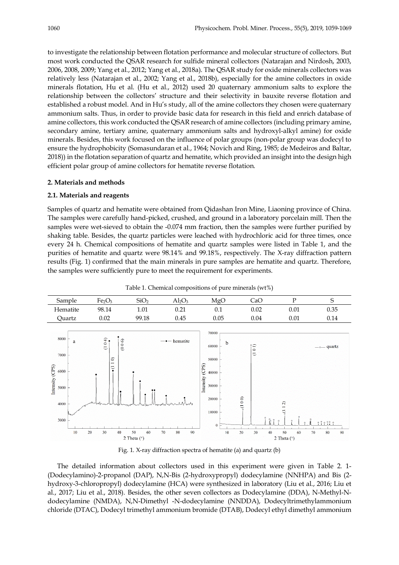to investigate the relationship between flotation performance and molecular structure of collectors. But most work conducted the QSAR research for sulfide mineral collectors (Natarajan and Nirdosh, 2003, 2006, 2008, 2009; Yang et al., 2012; Yang et al., 2018a). The QSAR study for oxide minerals collectors was relatively less (Natarajan et al., 2002; Yang et al., 2018b), especially for the amine collectors in oxide minerals flotation, Hu et al. (Hu et al., 2012) used 20 quaternary ammonium salts to explore the relationship between the collectors' structure and their selectivity in bauxite reverse flotation and established a robust model. And in Hu's study, all of the amine collectors they chosen were quaternary ammonium salts. Thus, in order to provide basic data for research in this field and enrich database of amine collectors, this work conducted the QSAR research of amine collectors (including primary amine, secondary amine, tertiary amine, quaternary ammonium salts and hydroxyl-alkyl amine) for oxide minerals. Besides, this work focused on the influence of polar groups (non-polar group was dodecyl to ensure the hydrophobicity (Somasundaran et al., 1964; Novich and Ring, 1985; de Medeiros and Baltar, 2018)) in the flotation separation of quartz and hematite, which provided an insight into the design high efficient polar group of amine collectors for hematite reverse flotation.

# **2. Materials and methods**

# **2.1. Materials and reagents**

Samples of quartz and hematite were obtained from Qidashan Iron Mine, Liaoning province of China. The samples were carefully hand-picked, crushed, and ground in a laboratory porcelain mill. Then the samples were wet-sieved to obtain the -0.074 mm fraction, then the samples were further purified by shaking table. Besides, the quartz particles were leached with hydrochloric acid for three times, once every 24 h. Chemical compositions of hematite and quartz samples were listed in Table 1, and the purities of hematite and quartz were 98.14% and 99.18%, respectively. The X-ray diffraction pattern results (Fig. 1) confirmed that the main minerals in pure samples are hematite and quartz. Therefore, the samples were sufficiently pure to meet the requirement for experiments.



Table 1. Chemical compositions of pure minerals (wt%)

Fig. 1. X-ray diffraction spectra of hematite (a) and quartz (b)

The detailed information about collectors used in this experiment were given in Table 2. 1- (Dodecylamino)-2-propanol (DAP), N,N-Bis (2-hydroxypropyl) dodecylamine (NNHPA) and Bis (2 hydroxy-3-chloropropyl) dodecylamine (HCA) were synthesized in laboratory (Liu et al., 2016; Liu et al., 2017; Liu et al., 2018). Besides, the other seven collectors as Dodecylamine (DDA), N-Methyl-Ndodecylamine (NMDA), N,N-Dimethyl -N-dodecylamine (NNDDA), Dodecyltrimethylammonium chloride (DTAC), Dodecyl trimethyl ammonium bromide (DTAB), Dodecyl ethyl dimethyl ammonium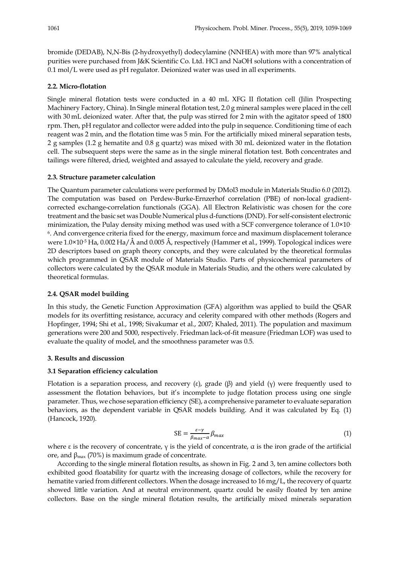bromide (DEDAB), N,N-Bis (2-hydroxyethyl) dodecylamine (NNHEA) with more than 97% analytical purities were purchased from J&K Scientific Co. Ltd. HCl and NaOH solutions with a concentration of 0.1 mol/L were used as pH regulator. Deionized water was used in all experiments.

#### **2.2. Micro-flotation**

Single mineral flotation tests were conducted in a 40 mL XFG II flotation cell (Jilin Prospecting Machinery Factory, China). In Single mineral flotation test, 2.0 g mineral samples were placed in the cell with 30 mL deionized water. After that, the pulp was stirred for 2 min with the agitator speed of 1800 rpm. Then, pH regulator and collector were added into the pulp in sequence. Conditioning time of each reagent was 2 min, and the flotation time was 5 min. For the artificially mixed mineral separation tests, 2 g samples (1.2 g hematite and 0.8 g quartz) was mixed with 30 mL deionized water in the flotation cell. The subsequent steps were the same as in the single mineral flotation test. Both concentrates and tailings were filtered, dried, weighted and assayed to calculate the yield, recovery and grade.

#### **2.3. Structure parameter calculation**

The Quantum parameter calculations were performed by DMol3 module in Materials Studio 6.0 (2012). The computation was based on Perdew-Burke-Ernzerhof correlation (PBE) of non-local gradientcorrected exchange-correlation functionals (GGA). All Electron Relativistic was chosen for the core treatment and the basic set was Double Numerical plus d-functions (DND). For self-consistent electronic minimization, the Pulay density mixing method was used with a SCF convergence tolerance of 1.0×10- 6. And convergence criteria fixed for the energy, maximum force and maximum displacement tolerance were 1.0×10-5 Ha, 0.002 Ha/Å and 0.005 Å, respectively (Hammer et al., 1999). Topological indices were 2D descriptors based on graph theory concepts, and they were calculated by the theoretical formulas which programmed in QSAR module of Materials Studio. Parts of physicochemical parameters of collectors were calculated by the QSAR module in Materials Studio, and the others were calculated by theoretical formulas.

#### **2.4. QSAR model building**

In this study, the Genetic Function Approximation (GFA) algorithm was applied to build the QSAR models for its overfitting resistance, accuracy and celerity compared with other methods (Rogers and Hopfinger, 1994; Shi et al., 1998; Sivakumar et al., 2007; Khaled, 2011). The population and maximum generations were 200 and 5000, respectively. Friedman lack-of-fit measure (Friedman LOF) was used to evaluate the quality of model, and the smoothness parameter was 0.5.

#### **3. Results and discussion**

## **3.1 Separation efficiency calculation**

Flotation is a separation process, and recovery (ε), grade (β) and yield (γ) were frequently used to assessment the flotation behaviors, but it's incomplete to judge flotation process using one single parameter. Thus, we chose separation efficiency (SE), a comprehensive parameter to evaluate separation behaviors, as the dependent variable in QSAR models building. And it was calculated by Eq. (1) (Hancock, 1920).

$$
SE = \frac{\varepsilon - \gamma}{\beta_{max} - \alpha} \beta_{max} \tag{1}
$$

where  $\varepsilon$  is the recovery of concentrate,  $\gamma$  is the yield of concentrate,  $\alpha$  is the iron grade of the artificial ore, and  $β<sub>max</sub>$  (70%) is maximum grade of concentrate.

According to the single mineral flotation results, as shown in Fig. 2 and 3, ten amine collectors both exhibited good floatability for quartz with the increasing dosage of collectors, while the recovery for hematite varied from different collectors. When the dosage increased to 16 mg/L, the recovery of quartz showed little variation. And at neutral environment, quartz could be easily floated by ten amine collectors. Base on the single mineral flotation results, the artificially mixed minerals separation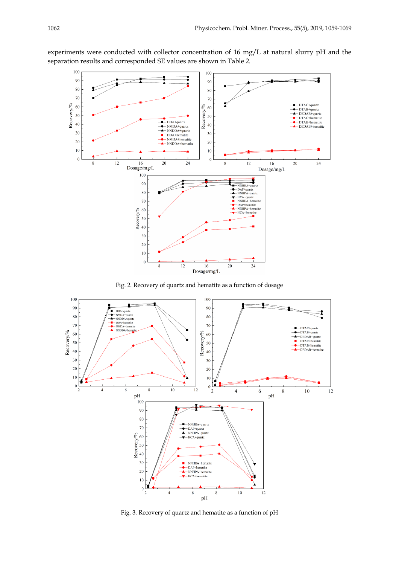experiments were conducted with collector concentration of 16 mg/L at natural slurry pH and the separation results and corresponded SE values are shown in Table 2.



Fig. 2. Recovery of quartz and hematite as a function of dosage



Fig. 3. Recovery of quartz and hematite as a function of pH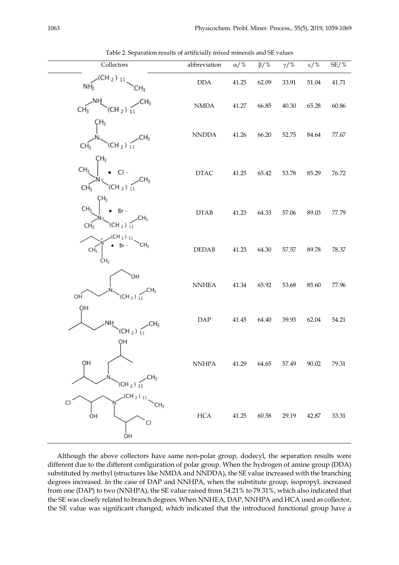| Collectors                                                                                             | abbreviation                  | $\alpha$ /% | $\beta$ /% | $\gamma/\, \%$ | $\epsilon$ /% | $SE/$ % |
|--------------------------------------------------------------------------------------------------------|-------------------------------|-------------|------------|----------------|---------------|---------|
| H <sub>2</sub> )<br>ΝH <sub>2</sub><br>Ηz                                                              | $\rm DDA$                     | 41.25       | 62.09      | 33.91          | 51.04         | 41.71   |
| CH <sub>3</sub><br>CH <sub>2</sub> ) $_{11}$                                                           | $\ensuremath{\text{NMDA}}$    | 41.27       | 66.85      | 40.30          | 65.28         | 60.86   |
| Ή3<br>$(CH_2)$ $11$<br>CH <sub>3</sub>                                                                 | $\ensuremath{\mathsf{NNDDA}}$ | 41.26       | 66.20      | 52.75          | $84.64\,$     | 77.67   |
| ÇН3<br>CH <sub>3</sub><br>$Cl -$<br>${\sf H}_3$<br>(CH <sub>2</sub> ) <sub>11</sub><br>CH <sub>3</sub> | $\ensuremath{\mathsf{DTAC}}$  | 41.25       | 65.42      | 53.78          | 85.29         | 76.72   |
| ÇН3<br>CH <sub>3</sub><br>$Br -$<br>(CH <sub>2</sub> ) <sub>11</sub><br>CН                             | DTAB                          | 41.23       | 64.33      | 57.06          | 89.03         | 77.79   |
| СHз<br>CH <sub>3</sub>                                                                                 | DEDAB                         | 41.23       | 64.30      | 57.57          | 89.78         | 78.37   |
| ЮH<br>ОH<br>(CH $_2)$ $_1$                                                                             | $\ensuremath{\mathrm{NNHEA}}$ | 41.34       | 65.92      | 53.68          | 85.60         | 77.96   |
| ΟH<br>CΗ,<br>$(CH_2)$ $\tilde{11}$                                                                     | $\ensuremath{\mathsf{DAP}}$   | 41.45       | 64.40      | 39.93          | 62.04         | 54.21   |
| OН<br>QН<br>CH3<br>(CH $_2$ ) $_{11}$                                                                  | $\ensuremath{\mathrm{NNHPA}}$ | 41.29       | 64.65      | 57.49          | 90.02         | 79.31   |
| $(CH_2)_{11}$<br>CI<br>OН<br>CI<br>ОH                                                                  | $_{\rm HCA}$                  | 41.25       | 60.58      | 29.19          | 42.87         | 33.31   |

Table 2. Separation results of artificially mixed minerals and SE values

Although the above collectors have same non-polar group, dodecyl, the separation results were different due to the different configuration of polar group. When the hydrogen of amine group (DDA) substituted by methyl (structures like NMDA and NNDDA), the SE value increased with the branching degrees increased. In the case of DAP and NNHPA, when the substitute group, isopropyl, increased from one (DAP) to two (NNHPA), the SE value raised from 54.21% to 79.31%, which also indicated that the SE was closely related to branch degrees. When NNHEA, DAP, NNHPA and HCA used as collector, the SE value was significant changed, which indicated that the introduced functional group have a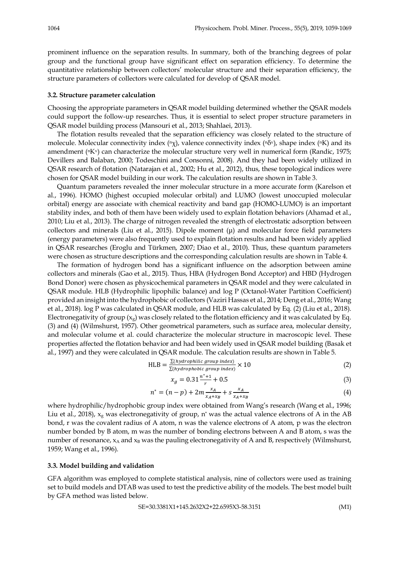prominent influence on the separation results. In summary, both of the branching degrees of polar group and the functional group have significant effect on separation efficiency. To determine the quantitative relationship between collectors' molecular structure and their separation efficiency, the structure parameters of collectors were calculated for develop of QSAR model.

#### **3.2. Structure parameter calculation**

Choosing the appropriate parameters in QSAR model building determined whether the QSAR models could support the follow-up researches. Thus, it is essential to select proper structure parameters in QSAR model building process (Mansouri et al., 2013; Shahlaei, 2013).

The flotation results revealed that the separation efficiency was closely related to the structure of molecule. Molecular connectivity index  $(\alpha \chi)$ , valence connectivity index  $(\alpha \delta \gamma)$ , shape index ( $\alpha$ K) and its amendment (<sup>n</sup>K<sup>v</sup>) can characterize the molecular structure very well in numerical form (Randic, 1975; Devillers and Balaban, 2000; Todeschini and Consonni, 2008). And they had been widely utilized in QSAR research of flotation (Natarajan et al., 2002; Hu et al., 2012), thus, these topological indices were chosen for QSAR model building in our work. The calculation results are shown in Table 3.

Quantum parameters revealed the inner molecular structure in a more accurate form (Karelson et al., 1996). HOMO (highest occupied molecular orbital) and LUMO (lowest unoccupied molecular orbital) energy are associate with chemical reactivity and band gap (HOMO-LUMO) is an important stability index, and both of them have been widely used to explain flotation behaviors (Ahamad et al., 2010; Liu et al., 2013). The charge of nitrogen revealed the strength of electrostatic adsorption between collectors and minerals (Liu et al., 2015). Dipole moment  $(\mu)$  and molecular force field parameters (energy parameters) were also frequently used to explain flotation results and had been widely applied in QSAR researches (Eroglu and Türkmen, 2007; Diao et al., 2010). Thus, these quantum parameters were chosen as structure descriptions and the corresponding calculation results are shown in Table 4.

The formation of hydrogen bond has a significant influence on the adsorption between amine collectors and minerals (Gao et al., 2015). Thus, HBA (Hydrogen Bond Acceptor) and HBD (Hydrogen Bond Donor) were chosen as physicochemical parameters in QSAR model and they were calculated in QSAR module. HLB (Hydrophilic lipophilic balance) and log P (Octanol-Water Partition Coefficient) provided an insight into the hydrophobic of collectors (Vaziri Hassas et al., 2014; Deng et al., 2016; Wang et al., 2018). log P was calculated in QSAR module, and HLB was calculated by Eq. (2) (Liu et al., 2018). Electronegativity of group  $(x_g)$  was closely related to the flotation efficiency and it was calculated by Eq. (3) and (4) (Wilmshurst, 1957). Other geometrical parameters, such as surface area, molecular density, and molecular volume et al. could characterize the molecular structure in macroscopic level. These properties affected the flotation behavior and had been widely used in QSAR model building (Basak et al., 1997) and they were calculated in QSAR module. The calculation results are shown in Table 5.

HLB = 
$$
\frac{\Sigma(hydrophilic group index)}{\Sigma(hydrophobic group index)} \times 10
$$
 (2)

$$
x_g = 0.31 \frac{n^* + 1}{r} + 0.5 \tag{3}
$$

$$
n^* = (n-p) + 2m \frac{x_A}{x_A + x_B} + s \frac{x_A}{x_A + x_B}
$$
 (4)

where hydrophilic/hydrophobic group index were obtained from Wang's research (Wang et al., 1996; Liu et al., 2018),  $x_g$  was electronegativity of group, n<sup>\*</sup> was the actual valence electrons of A in the AB bond, r was the covalent radius of A atom, n was the valence electrons of A atom, p was the electron number bonded by B atom, m was the number of bonding electrons between A and B atom, s was the number of resonance, xA and xB was the pauling electronegativity of A and B, respectively (Wilmshurst, 1959; Wang et al., 1996).

# **3.3. Model building and validation**

GFA algorithm was employed to complete statistical analysis, nine of collectors were used as training set to build models and DTAB was used to test the predictive ability of the models. The best model built by GFA method was listed below.

$$
SE = 30.3381X1 + 145.2632X2 + 22.6595X3 - 58.3151
$$
\n(M1)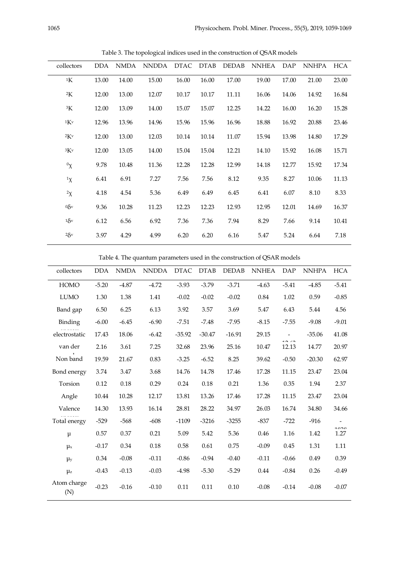| collectors  | <b>DDA</b> | <b>NMDA</b> | <b>NNDDA</b> | <b>DTAC</b> | <b>DTAB</b> | <b>DEDAB</b> | <b>NNHEA</b> | DAP   | <b>NNHPA</b> | <b>HCA</b> |
|-------------|------------|-------------|--------------|-------------|-------------|--------------|--------------|-------|--------------|------------|
| $\rm ^{1}K$ | 13.00      | 14.00       | 15.00        | 16.00       | 16.00       | 17.00        | 19.00        | 17.00 | 21.00        | 23.00      |
| 2K          | 12.00      | 13.00       | 12.07        | 10.17       | 10.17       | 11.11        | 16.06        | 14.06 | 14.92        | 16.84      |
| ${}^{3}K$   | 12.00      | 13.09       | 14.00        | 15.07       | 15.07       | 12.25        | 14.22        | 16.00 | 16.20        | 15.28      |
| 1Kv         | 12.96      | 13.96       | 14.96        | 15.96       | 15.96       | 16.96        | 18.88        | 16.92 | 20.88        | 23.46      |
| 2Kv         | 12.00      | 13.00       | 12.03        | 10.14       | 10.14       | 11.07        | 15.94        | 13.98 | 14.80        | 17.29      |
| 3Kv         | 12.00      | 13.05       | 14.00        | 15.04       | 15.04       | 12.21        | 14.10        | 15.92 | 16.08        | 15.71      |
| ${}^0X$     | 9.78       | 10.48       | 11.36        | 12.28       | 12.28       | 12.99        | 14.18        | 12.77 | 15.92        | 17.34      |
| ${}^1x$     | 6.41       | 6.91        | 7.27         | 7.56        | 7.56        | 8.12         | 9.35         | 8.27  | 10.06        | 11.13      |
| $2\chi$     | 4.18       | 4.54        | 5.36         | 6.49        | 6.49        | 6.45         | 6.41         | 6.07  | 8.10         | 8.33       |
| $0\delta v$ | 9.36       | 10.28       | 11.23        | 12.23       | 12.23       | 12.93        | 12.95        | 12.01 | 14.69        | 16.37      |
| $1\delta v$ | 6.12       | 6.56        | 6.92         | 7.36        | 7.36        | 7.94         | 8.29         | 7.66  | 9.14         | 10.41      |
| $2\delta v$ | 3.97       | 4.29        | 4.99         | 6.20        | 6.20        | 6.16         | 5.47         | 5.24  | 6.64         | 7.18       |
|             |            |             |              |             |             |              |              |       |              |            |

Table 3. The topological indices used in the construction of QSAR models

Table 4. The quantum parameters used in the construction of QSAR models

| collectors         | <b>DDA</b> | <b>NMDA</b> | <b>NNDDA</b> | <b>DTAC</b> | <b>DTAB</b> | <b>DEDAB</b> | <b>NNHEA</b> | DAP                    | <b>NNHPA</b> | <b>HCA</b>               |
|--------------------|------------|-------------|--------------|-------------|-------------|--------------|--------------|------------------------|--------------|--------------------------|
| <b>HOMO</b>        | $-5.20$    | $-4.87$     | $-4.72$      | $-3.93$     | $-3.79$     | $-3.71$      | $-4.63$      | $-5.41$                | $-4.85$      | $-5.41$                  |
| <b>LUMO</b>        | 1.30       | 1.38        | 1.41         | $-0.02$     | $-0.02$     | $-0.02$      | 0.84         | 1.02                   | 0.59         | $-0.85$                  |
| Band gap           | 6.50       | 6.25        | 6.13         | 3.92        | 3.57        | 3.69         | 5.47         | 6.43                   | 5.44         | 4.56                     |
| Binding            | $-6.00$    | $-6.45$     | $-6.90$      | $-7.51$     | $-7.48$     | $-7.95$      | $-8.15$      | $-7.55$                | $-9.08$      | $-9.01$                  |
| electrostatic      | 17.43      | 18.06       | $-6.42$      | $-35.92$    | $-30.47$    | $-16.91$     | 29.15        | $\sim$                 | $-35.06$     | 41.08                    |
| van der            | 2.16       | 3.61        | 7.25         | 32.68       | 23.96       | 25.16        | 10.47        | $\sim$ $\sim$<br>12.13 | 14.77        | 20.97                    |
| Non band           | 19.59      | 21.67       | 0.83         | $-3.25$     | $-6.52$     | 8.25         | 39.62        | $-0.50$                | $-20.30$     | 62.97                    |
| Bond energy        | 3.74       | 3.47        | 3.68         | 14.76       | 14.78       | 17.46        | 17.28        | 11.15                  | 23.47        | 23.04                    |
| Torsion            | 0.12       | 0.18        | 0.29         | 0.24        | 0.18        | 0.21         | 1.36         | 0.35                   | 1.94         | 2.37                     |
| Angle              | 10.44      | 10.28       | 12.17        | 13.81       | 13.26       | 17.46        | 17.28        | 11.15                  | 23.47        | 23.04                    |
| Valence            | 14.30      | 13.93       | 16.14        | 28.81       | 28.22       | 34.97        | 26.03        | 16.74                  | 34.80        | 34.66                    |
| Total energy       | $-529$     | $-568$      | $-608$       | $-1109$     | $-3216$     | $-3255$      | $-837$       | $-722$                 | $-916$       | $\overline{\phantom{a}}$ |
| $\mu$              | 0.57       | 0.37        | 0.21         | 5.09        | 5.42        | 5.36         | 0.46         | 1.16                   | 1.42         | 1000<br>1.27             |
| $\mu_x$            | $-0.17$    | 0.34        | 0.18         | 0.58        | 0.61        | 0.75         | $-0.09$      | 0.45                   | 1.31         | 1.11                     |
| $\mu_{y}$          | 0.34       | $-0.08$     | $-0.11$      | $-0.86$     | $-0.94$     | $-0.40$      | $-0.11$      | $-0.66$                | 0.49         | 0.39                     |
| $\mu_{z}$          | $-0.43$    | $-0.13$     | $-0.03$      | $-4.98$     | $-5.30$     | $-5.29$      | 0.44         | $-0.84$                | 0.26         | $-0.49$                  |
| Atom charge<br>(N) | $-0.23$    | $-0.16$     | $-0.10$      | 0.11        | 0.11        | 0.10         | $-0.08$      | $-0.14$                | $-0.08$      | $-0.07$                  |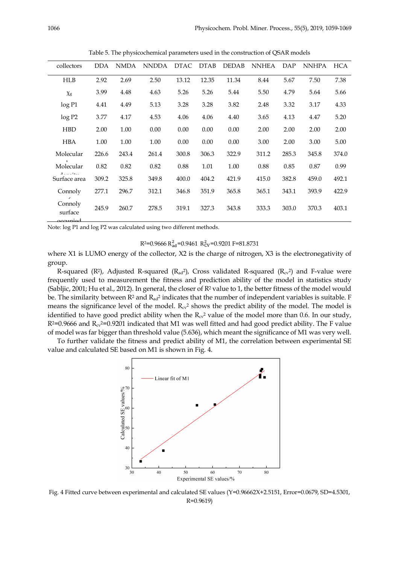| collectors                     | <b>DDA</b> | <b>NMDA</b> | <b>NNDDA</b> | <b>DTAC</b> | <b>DTAB</b> | <b>DEDAB</b> | <b>NNHEA</b> | <b>DAP</b> | <b>NNHPA</b> | <b>HCA</b> |
|--------------------------------|------------|-------------|--------------|-------------|-------------|--------------|--------------|------------|--------------|------------|
| <b>HLB</b>                     | 2.92       | 2.69        | 2.50         | 13.12       | 12.35       | 11.34        | 8.44         | 5.67       | 7.50         | 7.38       |
| $\chi_{\rm g}$                 | 3.99       | 4.48        | 4.63         | 5.26        | 5.26        | 5.44         | 5.50         | 4.79       | 5.64         | 5.66       |
| log P1                         | 4.41       | 4.49        | 5.13         | 3.28        | 3.28        | 3.82         | 2.48         | 3.32       | 3.17         | 4.33       |
| log P2                         | 3.77       | 4.17        | 4.53         | 4.06        | 4.06        | 4.40         | 3.65         | 4.13       | 4.47         | 5.20       |
| <b>HBD</b>                     | 2.00       | 1.00        | 0.00         | 0.00        | 0.00        | 0.00         | 2.00         | 2.00       | 2.00         | 2.00       |
| <b>HBA</b>                     | 1.00       | 1.00        | 1.00         | 0.00        | 0.00        | 0.00         | 3.00         | 2.00       | 3.00         | 5.00       |
| Molecular                      | 226.6      | 243.4       | 261.4        | 300.8       | 306.3       | 322.9        | 311.2        | 285.3      | 345.8        | 374.0      |
| Molecular                      | 0.82       | 0.82        | 0.82         | 0.88        | 1.01        | 1.00         | 0.88         | 0.85       | 0.87         | 0.99       |
| Surface area                   | 309.2      | 325.8       | 349.8        | 400.0       | 404.2       | 421.9        | 415.0        | 382.8      | 459.0        | 492.1      |
| Connoly                        | 277.1      | 296.7       | 312.1        | 346.8       | 351.9       | 365.8        | 365.1        | 343.1      | 393.9        | 422.9      |
| Connoly<br>surface<br>occupiod | 245.9      | 260.7       | 278.5        | 319.1       | 327.3       | 343.8        | 333.3        | 303.0      | 370.3        | 403.1      |

Table 5. The physicochemical parameters used in the construction of QSAR models

Note: log P1 and log P2 was calculated using two different methods.

 $R^2 = 0.9666 R_{ad}^2 = 0.9461 R_{CV}^2 = 0.9201 F = 81.8731$ 

where X1 is LUMO energy of the collector, X2 is the charge of nitrogen, X3 is the electronegativity of group.

R-squared (R<sup>2</sup>), Adjusted R-squared (R<sub>ad</sub><sup>2</sup>), Cross validated R-squared (R<sub>cv</sub><sup>2</sup>) and F-value were frequently used to measurement the fitness and prediction ability of the model in statistics study (Sabljic, 2001; Hu et al., 2012). In general, the closer of R2 value to 1, the better fitness of the model would be. The similarity between  $R^2$  and  $R_{ad}^2$  indicates that the number of independent variables is suitable. F means the significance level of the model.  $R_{cv}^2$  shows the predict ability of the model. The model is identified to have good predict ability when the  $R_{c*v*}$  value of the model more than 0.6. In our study,  $R^{2}=0.9666$  and  $R_{cv}$ <sup>2</sup>=0.9201 indicated that M1 was well fitted and had good predict ability. The F value of model was far bigger than threshold value (5.636), which meant the significance of M1 was very well.

To further validate the fitness and predict ability of M1, the correlation between experimental SE value and calculated SE based on M1 is shown in Fig. 4.



Fig. 4 Fitted curve between experimental and calculated SE values (Y=0.96662X+2.5151, Error=0.0679, SD=4.5301, R=0.9619)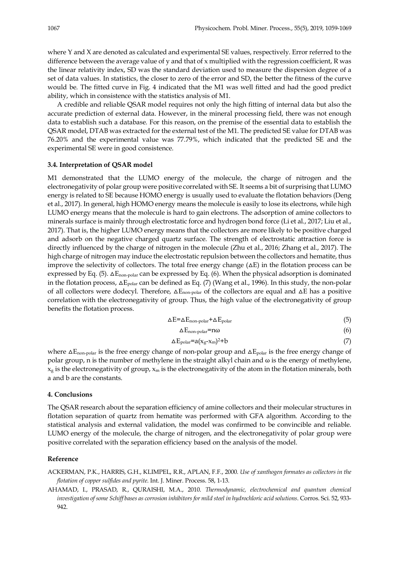where Y and X are denoted as calculated and experimental SE values, respectively. Error referred to the difference between the average value of y and that of x multiplied with the regression coefficient, R was the linear relativity index, SD was the standard deviation used to measure the dispersion degree of a set of data values. In statistics, the closer to zero of the error and SD, the better the fitness of the curve would be. The fitted curve in Fig. 4 indicated that the M1 was well fitted and had the good predict ability, which in consistence with the statistics analysis of M1.

A credible and reliable QSAR model requires not only the high fitting of internal data but also the accurate prediction of external data. However, in the mineral processing field, there was not enough data to establish such a database. For this reason, on the premise of the essential data to establish the QSAR model, DTAB was extracted for the external test of the M1. The predicted SE value for DTAB was 76.20% and the experimental value was 77.79%, which indicated that the predicted SE and the experimental SE were in good consistence.

#### **3.4. Interpretation of QSAR model**

M1 demonstrated that the LUMO energy of the molecule, the charge of nitrogen and the electronegativity of polar group were positive correlated with SE. It seems a bit of surprising that LUMO energy is related to SE because HOMO energy is usually used to evaluate the flotation behaviors (Deng et al., 2017). In general, high HOMO energy means the molecule is easily to lose its electrons, while high LUMO energy means that the molecule is hard to gain electrons. The adsorption of amine collectors to minerals surface is mainly through electrostatic force and hydrogen bond force (Li et al., 2017; Liu et al., 2017). That is, the higher LUMO energy means that the collectors are more likely to be positive charged and adsorb on the negative charged quartz surface. The strength of electrostatic attraction force is directly influenced by the charge of nitrogen in the molecule (Zhu et al., 2016; Zhang et al., 2017). The high charge of nitrogen may induce the electrostatic repulsion between the collectors and hematite, thus improve the selectivity of collectors. The total free energy change  $(\Delta E)$  in the flotation process can be expressed by Eq. (5).  $\Delta E_{\text{non-polar}}$  can be expressed by Eq. (6). When the physical adsorption is dominated in the flotation process,  $\Delta E_{polar}$  can be defined as Eq. (7) (Wang et al., 1996). In this study, the non-polar of all collectors were dodecyl. Therefore,  $\Delta E_{\text{non-polar}}$  of the collectors are equal and  $\Delta E$  has a positive correlation with the electronegativity of group. Thus, the high value of the electronegativity of group benefits the flotation process.

$$
\Delta E = \Delta E_{\text{non-polar}} + \Delta E_{\text{polar}} \tag{5}
$$

$$
\Delta E_{\text{non-polar}} = n\omega \tag{6}
$$

$$
\Delta E_{\text{polar}} = a(x_g - x_m)^2 + b \tag{7}
$$

where  $\Delta E_{\text{non-polar}}$  is the free energy change of non-polar group and  $\Delta E_{\text{polar}}$  is the free energy change of polar group, n is the number of methylene in the straight alkyl chain and ω is the energy of methylene,  $x_g$  is the electronegativity of group,  $x_m$  is the electronegativity of the atom in the flotation minerals, both a and b are the constants.

#### **4. Conclusions**

The QSAR research about the separation efficiency of amine collectors and their molecular structures in flotation separation of quartz from hematite was performed with GFA algorithm. According to the statistical analysis and external validation, the model was confirmed to be convincible and reliable. LUMO energy of the molecule, the charge of nitrogen, and the electronegativity of polar group were positive correlated with the separation efficiency based on the analysis of the model.

#### **Reference**

ACKERMAN, P.K., HARRIS, G.H., KLIMPEL, R.R., APLAN, F.F., 2000. *Use of xanthogen formates as collectors in the flotation of copper sulfides and pyrite*. Int. J. Miner. Process. 58, 1-13.

AHAMAD, I., PRASAD, R., QURAISHI, M.A., 2010. *Thermodynamic, electrochemical and quantum chemical investigation of some Schiff bases as corrosion inhibitors for mild steel in hydrochloric acid solutions*. Corros. Sci. 52, 933- 942.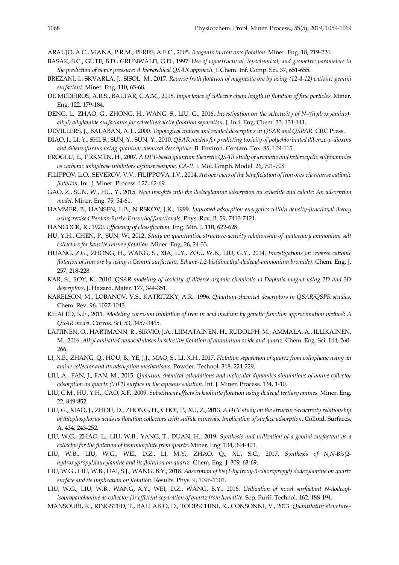ARAUJO, A.C., VIANA, P.R.M., PERES, A.E.C., 2005. *Reagents in iron ores flotation*. Miner. Eng. 18, 219-224.

- BASAK, S.C., GUTE, B.D., GRUNWALD, G.D., 1997. *Use of topostructural, topochemical, and geometric parameters in the prediction of vapor pressure: A hierarchical QSAR approach*. J. Chem. Inf. Comp. Sci. 37, 651-655.
- BREZANI, I., SKVARLA, J., SISOL, M., 2017. *Reverse froth flotation of magnesite ore by using (12-4-12) cationic gemini surfactant*. Miner. Eng. 110, 65-68.
- DE MEDEIROS, A.R.S., BALTAR, C.A.M., 2018. *Importance of collector chain length in flotation of fine particles*. Miner. Eng. 122, 179-184.
- DENG, L., ZHAO, G., ZHONG, H., WANG, S., LIU, G., 2016. *Investigation on the selectivity of N-((hydroxyamino) alkyl) alkylamide surfactants for scheelite/calcite flotation separation*. J. Ind. Eng. Chem. 33, 131-141.
- DEVILLERS, J., BALABAN, A.T., 2000. *Topological indices and related descriptors in QSAR and QSPAR*. CRC Press.
- DIAO, J., LI, Y., SHI, S., SUN, Y., SUN, Y., 2010. *QSAR models for predicting toxicity of polychlorinated dibenzo-p-dioxins and dibenzofurans using quantum chemical descriptors*. B. Environ. Contam. Tox. 85, 109-115.
- EROGLU, E., T RKMEN, H., 2007. *A DFT-based quantum theoretic QSAR study of aromatic and heterocyclic sulfonamides as carbonic anhydrase inhibitors against isozyme, CA-II*. J. Mol. Graph. Model. 26, 701-708.
- FILIPPOV, L.O., SEVEROV, V.V., FILIPPOVA, I.V., 2014. *An overview of the beneficiation of iron ores via reverse cationic flotation*. Int. J. Miner. Process. 127, 62-69.
- GAO, Z., SUN, W., HU, Y., 2015. *New insights into the dodecylamine adsorption on scheelite and calcite: An adsorption model*. Miner. Eng. 79, 54-61.
- HAMMER, B., HANSEN, L.B., N RSKOV, J.K., 1999. *Improved adsorption energetics within density-functional theory using revised Perdew-Burke-Ernzerhof functionals*. Phys. Rev. B. 59, 7413-7421.
- HANCOCK, R., 1920. *Efficiency of classification*. Eng. Min. J. 110, 622-628.
- HU, Y.H., CHEN, P., SUN, W., 2012. *Study on quantitative structure-activity relationship of quaternary ammonium salt collectors for bauxite reverse flotation*. Miner. Eng. 26, 24-33.
- HUANG, Z.G., ZHONG, H., WANG, S., XIA, L.Y., ZOU, W.B., LIU, G.Y., 2014. *Investigations on reverse cationic flotation of iron ore by using a Gemini surfactant: Ethane-1,2-bis(dimethyl-dodecyl-ammonium bromide)*. Chem. Eng. J. 257, 218-228.
- KAR, S., ROY, K., 2010. *QSAR modeling of toxicity of diverse organic chemicals to Daphnia magna using 2D and 3D descriptors*. J. Hazard. Mater. 177, 344-351.
- KARELSON, M., LOBANOV, V.S., KATRITZKY, A.R., 1996. *Quantum-chemical descriptors in QSAR/QSPR studies*. Chem. Rev. 96, 1027-1043.
- KHALED, K.F., 2011. *Modeling corrosion inhibition of iron in acid medium by genetic function approximation method: A QSAR model*. Corros. Sci. 53, 3457-3465.
- LAITINEN, O., HARTMANN, R., SIRVIO, J.A., LIIMATAINEN, H., RUDOLPH, M., AMMALA, A., ILLIKAINEN, M., 2016. Alkyl aminated nanocelluloses in selective flotation of aluminium oxide and quartz. Chem. Eng. Sci. 144, 260-266.
- LI, X.B., ZHANG, Q., HOU, B., YE, J.J., MAO, S., LI, X.H., 2017. *Flotation separation of quartz from collophane using an amine collector and its adsorption mechanisms*. Powder. Technol. 318, 224-229.
- LIU, A., FAN, J., FAN, M., 2015. *Quantum chemical calculations and molecular dynamics simulations of amine collector adsorption on quartz (0 0 1) surface in the aqueous solution*. Int. J. Miner. Process. 134, 1-10.
- LIU, C.M., HU, Y.H., CAO, X.F., 2009. *Substituent effects in kaolinite flotation using dodecyl tertiary amines*. Miner. Eng. 22, 849-852.
- LIU, G., XIAO, J., ZHOU, D., ZHONG, H., CHOI, P., XU, Z., 2013. *A DFT study on the structure-reactivity relationship of thiophosphorus acids as flotation collectors with sulfide minerals: Implication of surface adsorption*. Colloid. Surfaces. A. 434, 243-252.
- LIU, W.G., ZHAO, L., LIU, W.B., YANG, T., DUAN, H., 2019. *Synthesis and utilization of a gemini surfactant as a collector for the flotation of hemimorphite from quartz*. Miner. Eng. 134, 394-401.
- LIU, W.B., LIU, W.G., WEI, D.Z., LI, M.Y., ZHAO, Q., XU, S.C., 2017. *Synthesis of N,N-Bis(2 hydroxypropyl)laurylamine and its flotation on quartz*. Chem. Eng. J. 309, 63-69.
- LIU, W.G., LIU, W.B., DAI, S.J., WANG, B.Y., 2018. *Adsorption of bis(2-hydroxy-3-chloropropyl) dodecylamine on quartz surface and its implication on flotation*. Results. Phys. 9, 1096-1101.
- LIU, W.G., LIU, W.B., WANG, X.Y., WEI, D.Z., WANG, B.Y., 2016. *Utilization of novel surfactant N-dodecylisopropanolamine as collector for efficient separation of quartz from hematite*. Sep. Purif. Technol. 162, 188-194.
- MANSOURI, K., RINGSTED, T., BALLABIO, D., TODESCHINI, R., CONSONNI, V., 2013. *Quantitative structure–*